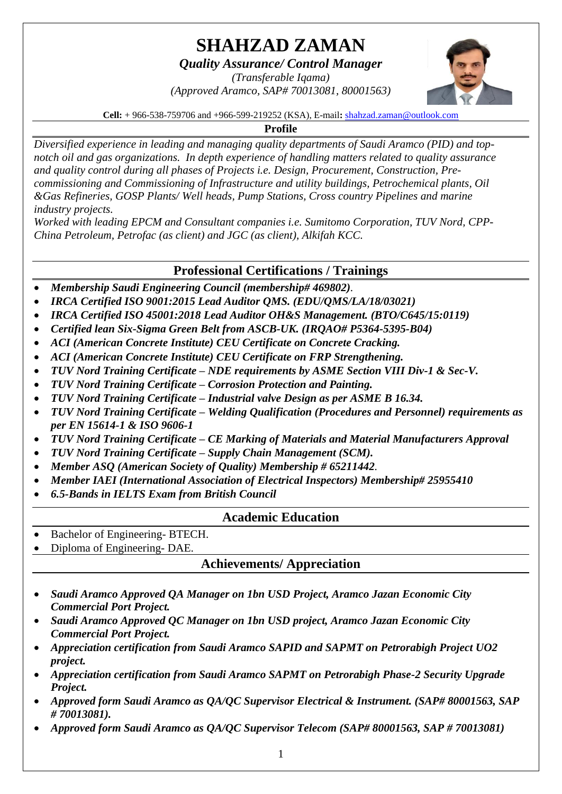# **SHAHZAD ZAMAN**

*Quality Assurance/ Control Manager*

*(Transferable Iqama) (Approved Aramco, SAP# 70013081, 80001563)*



**Cell:** + 966-538-759706 and +966-599-219252 (KSA), E-mail**:** [shahzad.zaman@outlook.com](mailto:shahzad.zaman@outlook.com)

## **Profile**

*Diversified experience in leading and managing quality departments of Saudi Aramco (PID) and topnotch oil and gas organizations. In depth experience of handling matters related to quality assurance and quality control during all phases of Projects i.e. Design, Procurement, Construction, Precommissioning and Commissioning of Infrastructure and utility buildings, Petrochemical plants, Oil &Gas Refineries, GOSP Plants/ Well heads, Pump Stations, Cross country Pipelines and marine industry projects.*

*Worked with leading EPCM and Consultant companies i.e. Sumitomo Corporation, TUV Nord, CPP-China Petroleum, Petrofac (as client) and JGC (as client), Alkifah KCC.*

# **Professional Certifications / Trainings**

- *Membership Saudi Engineering Council (membership# 469802).*
- *IRCA Certified ISO 9001:2015 Lead Auditor QMS. (EDU/QMS/LA/18/03021)*
- *IRCA Certified ISO 45001:2018 Lead Auditor OH&S Management. (BTO/C645/15:0119)*
- *Certified lean Six-Sigma Green Belt from ASCB-UK. (IRQAO# P5364-5395-B04)*
- *ACI (American Concrete Institute) CEU Certificate on Concrete Cracking.*
- *ACI (American Concrete Institute) CEU Certificate on FRP Strengthening.*
- *TUV Nord Training Certificate – NDE requirements by ASME Section VIII Div-1 & Sec-V.*
- *TUV Nord Training Certificate – Corrosion Protection and Painting.*
- *TUV Nord Training Certificate – Industrial valve Design as per ASME B 16.34.*
- *TUV Nord Training Certificate – Welding Qualification (Procedures and Personnel) requirements as per EN 15614-1 & ISO 9606-1*
- *TUV Nord Training Certificate – CE Marking of Materials and Material Manufacturers Approval*
- *TUV Nord Training Certificate – Supply Chain Management (SCM).*
- *Member ASQ (American Society of Quality) Membership # 65211442.*
- *Member IAEI (International Association of Electrical Inspectors) Membership# 25955410*
- *6.5-Bands in IELTS Exam from British Council*

# **Academic Education**

- Bachelor of Engineering- BTECH.
- Diploma of Engineering- DAE.

# **Achievements/ Appreciation**

- *Saudi Aramco Approved QA Manager on 1bn USD Project, Aramco Jazan Economic City Commercial Port Project.*
- *Saudi Aramco Approved QC Manager on 1bn USD project, Aramco Jazan Economic City Commercial Port Project.*
- *Appreciation certification from Saudi Aramco SAPID and SAPMT on Petrorabigh Project UO2 project.*
- *Appreciation certification from Saudi Aramco SAPMT on Petrorabigh Phase-2 Security Upgrade Project.*
- *Approved form Saudi Aramco as QA/QC Supervisor Electrical & Instrument. (SAP# 80001563, SAP # 70013081).*
- *Approved form Saudi Aramco as QA/QC Supervisor Telecom (SAP# 80001563, SAP # 70013081)*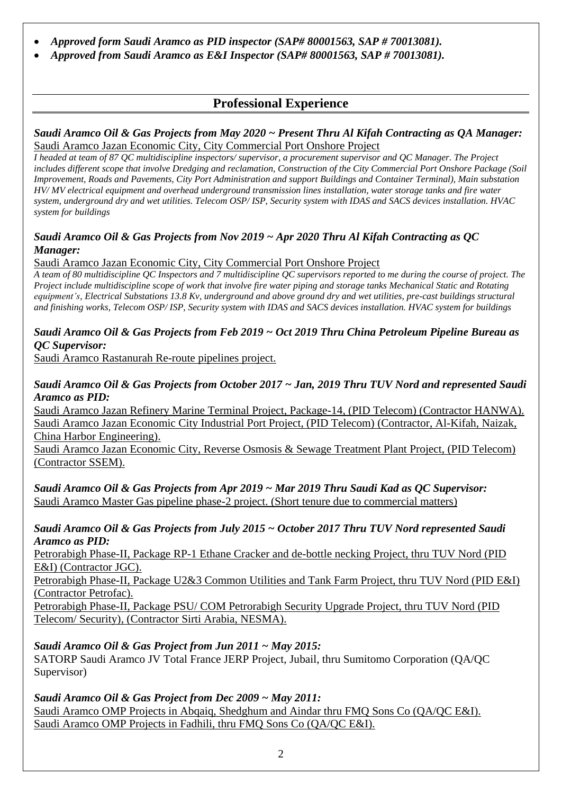- *Approved form Saudi Aramco as PID inspector (SAP# 80001563, SAP # 70013081).*
- *Approved from Saudi Aramco as E&I Inspector (SAP# 80001563, SAP # 70013081).*

# **Professional Experience**

#### *Saudi Aramco Oil & Gas Projects from May 2020 ~ Present Thru Al Kifah Contracting as QA Manager:*  Saudi Aramco Jazan Economic City, City Commercial Port Onshore Project

*I headed at team of 87 QC multidiscipline inspectors/ supervisor, a procurement supervisor and QC Manager. The Project includes different scope that involve Dredging and reclamation, Construction of the City Commercial Port Onshore Package (Soil Improvement, Roads and Pavements, City Port Administration and support Buildings and Container Terminal), Main substation HV/ MV electrical equipment and overhead underground transmission lines installation, water storage tanks and fire water system, underground dry and wet utilities. Telecom OSP/ ISP, Security system with IDAS and SACS devices installation. HVAC system for buildings*

#### *Saudi Aramco Oil & Gas Projects from Nov 2019 ~ Apr 2020 Thru Al Kifah Contracting as QC Manager:*

Saudi Aramco Jazan Economic City, City Commercial Port Onshore Project

*A team of 80 multidiscipline QC Inspectors and 7 multidiscipline QC supervisors reported to me during the course of project. The Project include multidiscipline scope of work that involve fire water piping and storage tanks Mechanical Static and Rotating equipment's, Electrical Substations 13.8 Kv, underground and above ground dry and wet utilities, pre-cast buildings structural and finishing works, Telecom OSP/ ISP, Security system with IDAS and SACS devices installation. HVAC system for buildings*

#### *Saudi Aramco Oil & Gas Projects from Feb 2019 ~ Oct 2019 Thru China Petroleum Pipeline Bureau as QC Supervisor:*

Saudi Aramco Rastanurah Re-route pipelines project.

#### *Saudi Aramco Oil & Gas Projects from October 2017 ~ Jan, 2019 Thru TUV Nord and represented Saudi Aramco as PID:*

Saudi Aramco Jazan Refinery Marine Terminal Project, Package-14, (PID Telecom) (Contractor HANWA). Saudi Aramco Jazan Economic City Industrial Port Project, (PID Telecom) (Contractor, Al-Kifah, Naizak, China Harbor Engineering).

Saudi Aramco Jazan Economic City, Reverse Osmosis & Sewage Treatment Plant Project, (PID Telecom) (Contractor SSEM).

*Saudi Aramco Oil & Gas Projects from Apr 2019 ~ Mar 2019 Thru Saudi Kad as QC Supervisor:* Saudi Aramco Master Gas pipeline phase-2 project. (Short tenure due to commercial matters)

#### *Saudi Aramco Oil & Gas Projects from July 2015 ~ October 2017 Thru TUV Nord represented Saudi Aramco as PID:*

Petrorabigh Phase-II, Package RP-1 Ethane Cracker and de-bottle necking Project, thru TUV Nord (PID E&I) (Contractor JGC).

Petrorabigh Phase-II, Package U2&3 Common Utilities and Tank Farm Project, thru TUV Nord (PID E&I) (Contractor Petrofac).

Petrorabigh Phase-II, Package PSU/ COM Petrorabigh Security Upgrade Project, thru TUV Nord (PID Telecom/ Security), (Contractor Sirti Arabia, NESMA).

## *Saudi Aramco Oil & Gas Project from Jun 2011 ~ May 2015:*

SATORP Saudi Aramco JV Total France JERP Project, Jubail, thru Sumitomo Corporation (QA/QC Supervisor)

#### *Saudi Aramco Oil & Gas Project from Dec 2009 ~ May 2011:*

Saudi Aramco OMP Projects in Abqaiq, Shedghum and Aindar thru FMQ Sons Co (QA/QC E&I). Saudi Aramco OMP Projects in Fadhili, thru FMQ Sons Co (QA/QC E&I).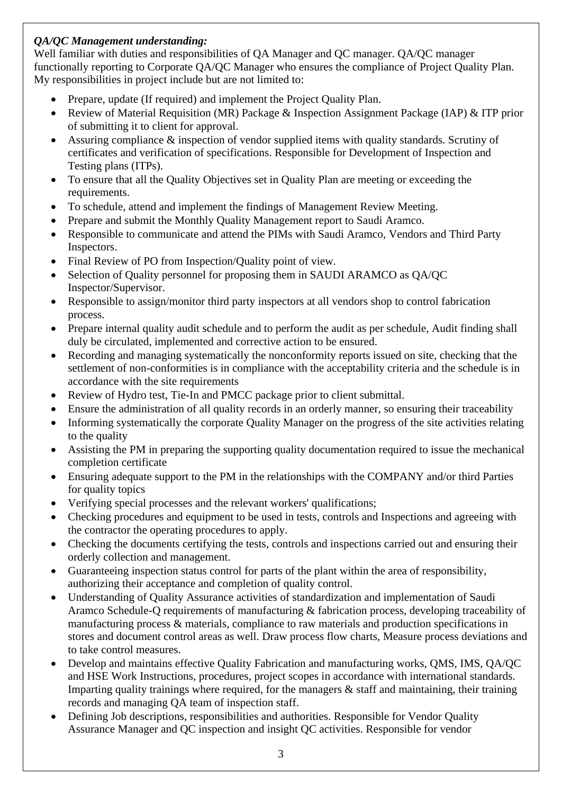## *QA/QC Management understanding:*

Well familiar with duties and responsibilities of QA Manager and QC manager. QA/QC manager functionally reporting to Corporate QA/QC Manager who ensures the compliance of Project Quality Plan. My responsibilities in project include but are not limited to:

- Prepare, update (If required) and implement the Project Quality Plan.
- Review of Material Requisition (MR) Package & Inspection Assignment Package (IAP) & ITP prior of submitting it to client for approval.
- Assuring compliance & inspection of vendor supplied items with quality standards. Scrutiny of certificates and verification of specifications. Responsible for Development of Inspection and Testing plans (ITPs).
- To ensure that all the Quality Objectives set in Quality Plan are meeting or exceeding the requirements.
- To schedule, attend and implement the findings of Management Review Meeting.
- Prepare and submit the Monthly Quality Management report to Saudi Aramco.
- Responsible to communicate and attend the PIMs with Saudi Aramco, Vendors and Third Party Inspectors.
- Final Review of PO from Inspection/Quality point of view.
- Selection of Quality personnel for proposing them in SAUDI ARAMCO as OA/OC Inspector/Supervisor.
- Responsible to assign/monitor third party inspectors at all vendors shop to control fabrication process.
- Prepare internal quality audit schedule and to perform the audit as per schedule, Audit finding shall duly be circulated, implemented and corrective action to be ensured.
- Recording and managing systematically the nonconformity reports issued on site, checking that the settlement of non-conformities is in compliance with the acceptability criteria and the schedule is in accordance with the site requirements
- Review of Hydro test, Tie-In and PMCC package prior to client submittal.
- Ensure the administration of all quality records in an orderly manner, so ensuring their traceability
- Informing systematically the corporate Quality Manager on the progress of the site activities relating to the quality
- Assisting the PM in preparing the supporting quality documentation required to issue the mechanical completion certificate
- Ensuring adequate support to the PM in the relationships with the COMPANY and/or third Parties for quality topics
- Verifying special processes and the relevant workers' qualifications;
- Checking procedures and equipment to be used in tests, controls and Inspections and agreeing with the contractor the operating procedures to apply.
- Checking the documents certifying the tests, controls and inspections carried out and ensuring their orderly collection and management.
- Guaranteeing inspection status control for parts of the plant within the area of responsibility, authorizing their acceptance and completion of quality control.
- Understanding of Quality Assurance activities of standardization and implementation of Saudi Aramco Schedule-Q requirements of manufacturing & fabrication process, developing traceability of manufacturing process & materials, compliance to raw materials and production specifications in stores and document control areas as well. Draw process flow charts, Measure process deviations and to take control measures.
- Develop and maintains effective Quality Fabrication and manufacturing works, QMS, IMS, QA/QC and HSE Work Instructions, procedures, project scopes in accordance with international standards. Imparting quality trainings where required, for the managers  $\&$  staff and maintaining, their training records and managing QA team of inspection staff.
- Defining Job descriptions, responsibilities and authorities. Responsible for Vendor Quality Assurance Manager and QC inspection and insight QC activities. Responsible for vendor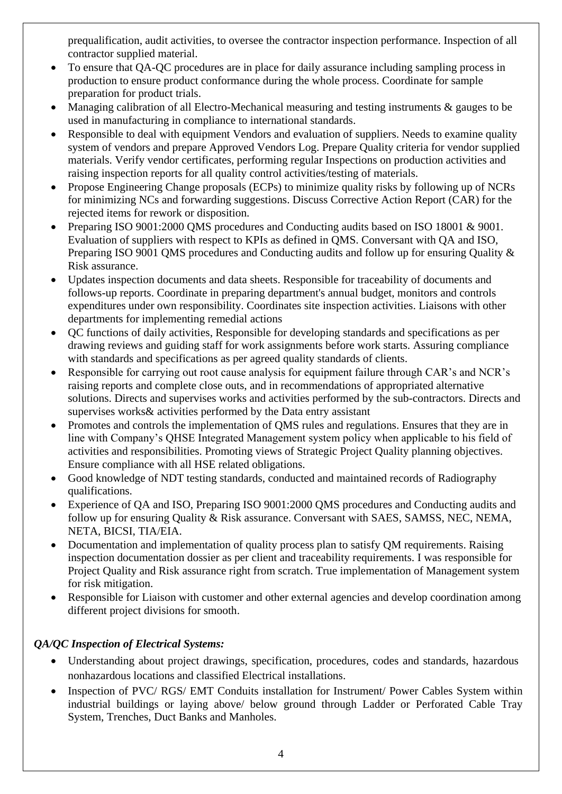prequalification, audit activities, to oversee the contractor inspection performance. Inspection of all contractor supplied material.

- To ensure that QA-QC procedures are in place for daily assurance including sampling process in production to ensure product conformance during the whole process. Coordinate for sample preparation for product trials.
- Managing calibration of all Electro-Mechanical measuring and testing instruments & gauges to be used in manufacturing in compliance to international standards.
- Responsible to deal with equipment Vendors and evaluation of suppliers. Needs to examine quality system of vendors and prepare Approved Vendors Log. Prepare Quality criteria for vendor supplied materials. Verify vendor certificates, performing regular Inspections on production activities and raising inspection reports for all quality control activities/testing of materials.
- Propose Engineering Change proposals (ECPs) to minimize quality risks by following up of NCRs for minimizing NCs and forwarding suggestions. Discuss Corrective Action Report (CAR) for the rejected items for rework or disposition.
- Preparing ISO 9001:2000 QMS procedures and Conducting audits based on ISO 18001 & 9001. Evaluation of suppliers with respect to KPIs as defined in QMS. Conversant with QA and ISO, Preparing ISO 9001 OMS procedures and Conducting audits and follow up for ensuring Quality & Risk assurance.
- Updates inspection documents and data sheets. Responsible for traceability of documents and follows-up reports. Coordinate in preparing department's annual budget, monitors and controls expenditures under own responsibility. Coordinates site inspection activities. Liaisons with other departments for implementing remedial actions
- QC functions of daily activities, Responsible for developing standards and specifications as per drawing reviews and guiding staff for work assignments before work starts. Assuring compliance with standards and specifications as per agreed quality standards of clients.
- Responsible for carrying out root cause analysis for equipment failure through CAR's and NCR's raising reports and complete close outs, and in recommendations of appropriated alternative solutions. Directs and supervises works and activities performed by the sub-contractors. Directs and supervises works& activities performed by the Data entry assistant
- Promotes and controls the implementation of QMS rules and regulations. Ensures that they are in line with Company's QHSE Integrated Management system policy when applicable to his field of activities and responsibilities. Promoting views of Strategic Project Quality planning objectives. Ensure compliance with all HSE related obligations.
- Good knowledge of NDT testing standards, conducted and maintained records of Radiography qualifications.
- Experience of QA and ISO, Preparing ISO 9001:2000 QMS procedures and Conducting audits and follow up for ensuring Quality & Risk assurance. Conversant with SAES, SAMSS, NEC, NEMA, NETA, BICSI, TIA/EIA.
- Documentation and implementation of quality process plan to satisfy QM requirements. Raising inspection documentation dossier as per client and traceability requirements. I was responsible for Project Quality and Risk assurance right from scratch. True implementation of Management system for risk mitigation.
- Responsible for Liaison with customer and other external agencies and develop coordination among different project divisions for smooth.

## *QA/QC Inspection of Electrical Systems:*

- Understanding about project drawings, specification, procedures, codes and standards, hazardous nonhazardous locations and classified Electrical installations.
- Inspection of PVC/ RGS/ EMT Conduits installation for Instrument/ Power Cables System within industrial buildings or laying above/ below ground through Ladder or Perforated Cable Tray System, Trenches, Duct Banks and Manholes.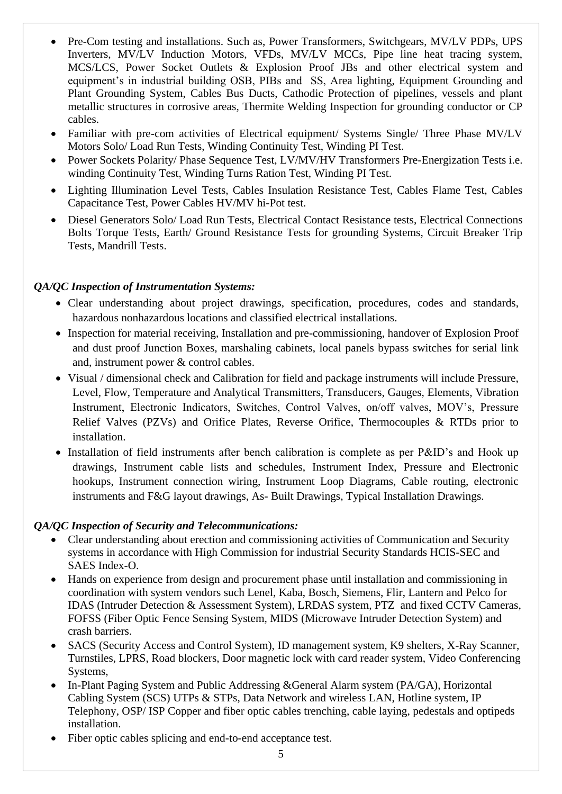- Pre-Com testing and installations. Such as, Power Transformers, Switchgears, MV/LV PDPs, UPS Inverters, MV/LV Induction Motors, VFDs, MV/LV MCCs, Pipe line heat tracing system, MCS/LCS, Power Socket Outlets & Explosion Proof JBs and other electrical system and equipment's in industrial building OSB, PIBs and SS, Area lighting, Equipment Grounding and Plant Grounding System, Cables Bus Ducts, Cathodic Protection of pipelines, vessels and plant metallic structures in corrosive areas, Thermite Welding Inspection for grounding conductor or CP cables.
- Familiar with pre-com activities of Electrical equipment/ Systems Single/ Three Phase MV/LV Motors Solo/ Load Run Tests, Winding Continuity Test, Winding PI Test.
- Power Sockets Polarity/ Phase Sequence Test, LV/MV/HV Transformers Pre-Energization Tests i.e. winding Continuity Test, Winding Turns Ration Test, Winding PI Test.
- Lighting Illumination Level Tests, Cables Insulation Resistance Test, Cables Flame Test, Cables Capacitance Test, Power Cables HV/MV hi-Pot test.
- Diesel Generators Solo/ Load Run Tests, Electrical Contact Resistance tests, Electrical Connections Bolts Torque Tests, Earth/ Ground Resistance Tests for grounding Systems, Circuit Breaker Trip Tests, Mandrill Tests.

## *QA/QC Inspection of Instrumentation Systems:*

- Clear understanding about project drawings, specification, procedures, codes and standards, hazardous nonhazardous locations and classified electrical installations.
- Inspection for material receiving, Installation and pre-commissioning, handover of Explosion Proof and dust proof Junction Boxes, marshaling cabinets, local panels bypass switches for serial link and, instrument power & control cables.
- Visual / dimensional check and Calibration for field and package instruments will include Pressure, Level, Flow, Temperature and Analytical Transmitters, Transducers, Gauges, Elements, Vibration Instrument, Electronic Indicators, Switches, Control Valves, on/off valves, MOV's, Pressure Relief Valves (PZVs) and Orifice Plates, Reverse Orifice, Thermocouples & RTDs prior to installation.
- Installation of field instruments after bench calibration is complete as per P&ID's and Hook up drawings, Instrument cable lists and schedules, Instrument Index, Pressure and Electronic hookups, Instrument connection wiring, Instrument Loop Diagrams, Cable routing, electronic instruments and F&G layout drawings, As- Built Drawings, Typical Installation Drawings.

#### *QA/QC Inspection of Security and Telecommunications:*

- Clear understanding about erection and commissioning activities of Communication and Security systems in accordance with High Commission for industrial Security Standards HCIS-SEC and SAES Index-O.
- Hands on experience from design and procurement phase until installation and commissioning in coordination with system vendors such Lenel, Kaba, Bosch, Siemens, Flir, Lantern and Pelco for IDAS (Intruder Detection & Assessment System), LRDAS system, PTZ and fixed CCTV Cameras, FOFSS (Fiber Optic Fence Sensing System, MIDS (Microwave Intruder Detection System) and crash barriers.
- SACS (Security Access and Control System), ID management system, K9 shelters, X-Ray Scanner, Turnstiles, LPRS, Road blockers, Door magnetic lock with card reader system, Video Conferencing Systems,
- In-Plant Paging System and Public Addressing &General Alarm system (PA/GA), Horizontal Cabling System (SCS) UTPs & STPs, Data Network and wireless LAN, Hotline system, IP Telephony, OSP/ ISP Copper and fiber optic cables trenching, cable laying, pedestals and optipeds installation.
- Fiber optic cables splicing and end-to-end acceptance test.